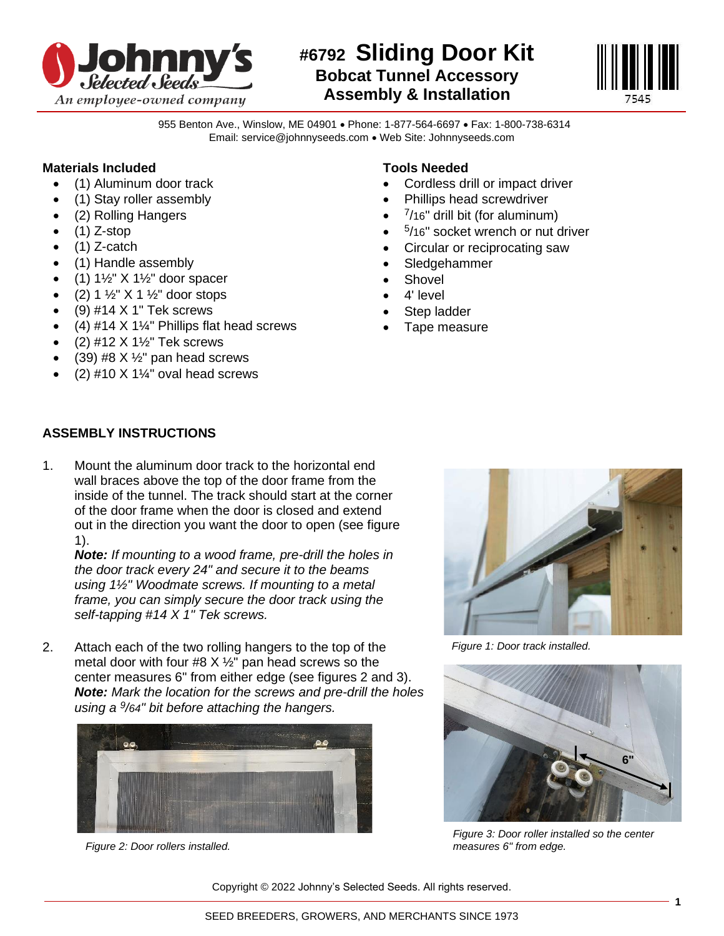

## **#6792 Sliding Door Kit Bobcat Tunnel Accessory Assembly & Installation**



955 Benton Ave., Winslow, ME 04901 • Phone: 1-877-564-6697 • Fax: 1-800-738-6314 Email: service@johnnyseeds.com • Web Site: Johnnyseeds.com

## **Materials Included**

- (1) Aluminum door track
- (1) Stay roller assembly
- (2) Rolling Hangers
- $\bullet$  (1) Z-stop
- $\bullet$  (1) Z-catch
- (1) Handle assembly
- $(1)$  1½" X 1½" door spacer
- $(2) 1 \frac{1}{2}$ " X 1  $\frac{1}{2}$ " door stops
- $\bullet$  (9) #14 X 1" Tek screws
- (4)  $\#14 \times 1\frac{1}{8}$  Phillips flat head screws
- $(2)$  #12 X 1 $\frac{1}{2}$ " Tek screws
- (39) #8  $X$   $\frac{1}{2}$ " pan head screws
- (2) #10  $X$  1¼" oval head screws

## **Tools Needed**

- Cordless drill or impact driver
- Phillips head screwdriver
- $7/16$ " drill bit (for aluminum)
- 5 /16" socket wrench or nut driver
- Circular or reciprocating saw
- Sledgehammer
- **Shovel**
- 4' level
- Step ladder
- Tape measure

## **ASSEMBLY INSTRUCTIONS**

1. Mount the aluminum door track to the horizontal end wall braces above the top of the door frame from the inside of the tunnel. The track should start at the corner of the door frame when the door is closed and extend out in the direction you want the door to open (see figure 1).

*Note: If mounting to a wood frame, pre-drill the holes in the door track every 24" and secure it to the beams using 1½" Woodmate screws. If mounting to a metal frame, you can simply secure the door track using the self-tapping #14 X 1" Tek screws.*

2. Attach each of the two rolling hangers to the top of the metal door with four #8  $X$   $\frac{1}{2}$ " pan head screws so the center measures 6" from either edge (see figures 2 and 3). *Note: Mark the location for the screws and pre-drill the holes using a <sup>9</sup> /64" bit before attaching the hangers.*



*Figure 2: Door rollers installed.*



*Figure 1: Door track installed.*



*Figure 3: Door roller installed so the center measures 6" from edge.*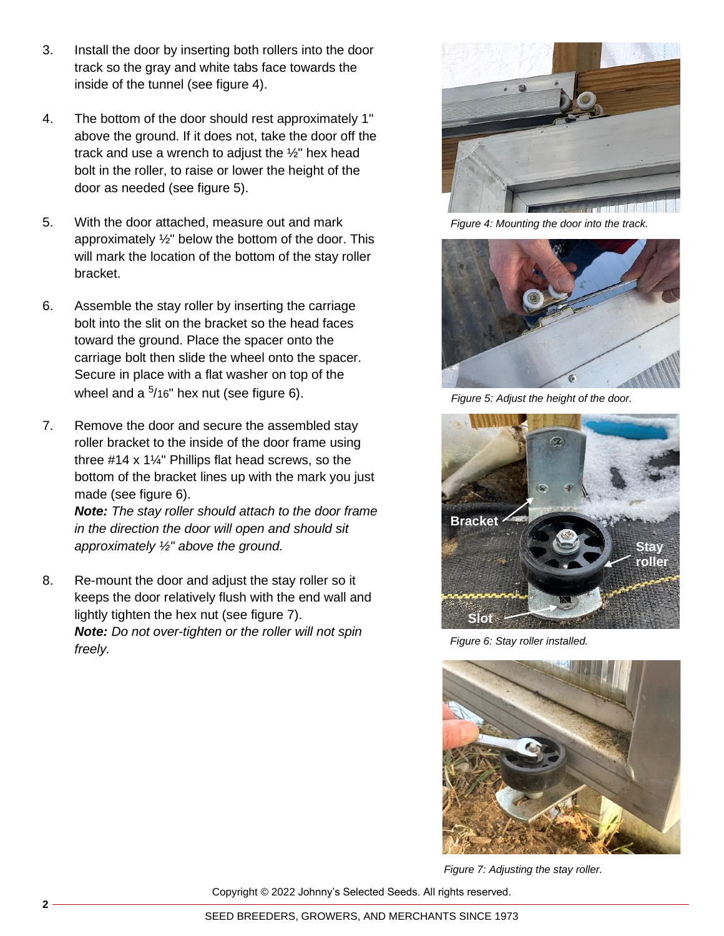- 3. Install the door by inserting both rollers into the door track so the gray and white tabs face towards the inside of the tunnel (see figure 4).
- 4. The bottom of the door should rest approximately 1" above the ground. If it does not, take the door off the track and use a wrench to adjust the ½" hex head bolt in the roller, to raise or lower the height of the door as needed (see figure 5).
- 5. With the door attached, measure out and mark approximately ½" below the bottom of the door. This will mark the location of the bottom of the stay roller bracket.
- 6. Assemble the stay roller by inserting the carriage bolt into the slit on the bracket so the head faces toward the ground. Place the spacer onto the carriage bolt then slide the wheel onto the spacer. Secure in place with a flat washer on top of the wheel and a  $5/16"$  hex nut (see figure 6).
- 7. Remove the door and secure the assembled stay roller bracket to the inside of the door frame using three #14 x 1¼" Phillips flat head screws, so the bottom of the bracket lines up with the mark you just made (see figure 6).

*Note: The stay roller should attach to the door frame in the direction the door will open and should sit approximately ½" above the ground.*

8. Re-mount the door and adjust the stay roller so it keeps the door relatively flush with the end wall and lightly tighten the hex nut (see figure 7). *Note: Do not over-tighten or the roller will not spin freely.*



*Figure 4: Mounting the door into the track.*



*Figure 5: Adjust the height of the door.*



*Figure 6: Stay roller installed.*



*Figure 7: Adjusting the stay roller.*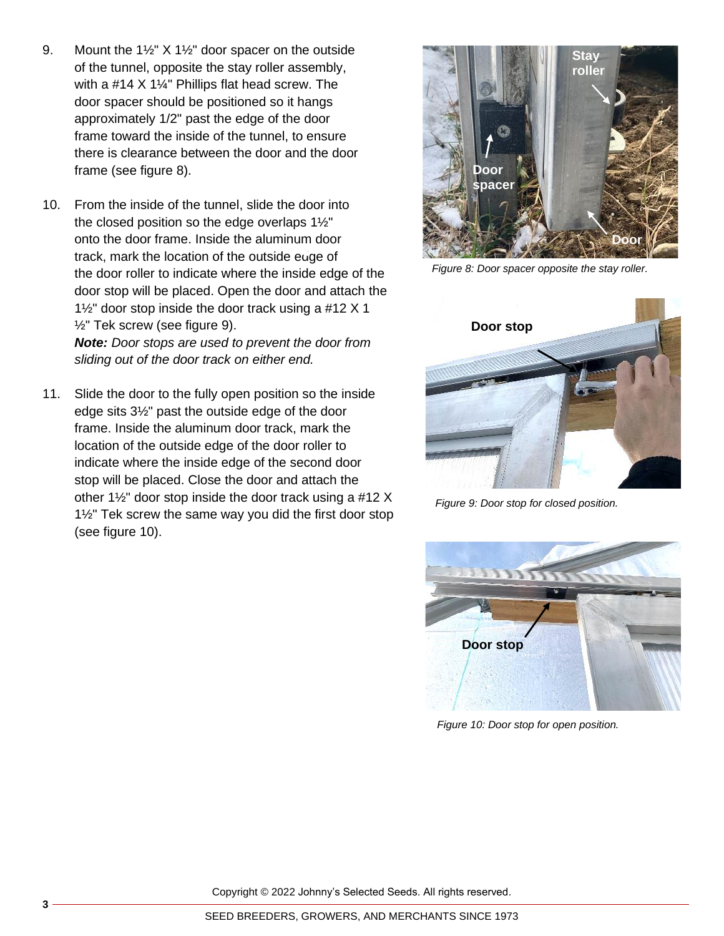- 9. Mount the 1½" X 1½" door spacer on the outside of the tunnel, opposite the stay roller assembly, with a #14 X 1¼" Phillips flat head screw. The door spacer should be positioned so it hangs approximately 1/2" past the edge of the door frame toward the inside of the tunnel, to ensure there is clearance between the door and the door frame (see figure 8).
- 10. From the inside of the tunnel, slide the door into the closed position so the edge overlaps 1½" onto the door frame. Inside the aluminum door track, mark the location of the outside edge of the door roller to indicate where the inside edge of the door stop will be placed. Open the door and attach the 1½" door stop inside the door track using a #12 X 1 ½" Tek screw (see figure 9). *Note: Door stops are used to prevent the door from*

*sliding out of the door track on either end.*

11. Slide the door to the fully open position so the inside edge sits 3½" past the outside edge of the door frame. Inside the aluminum door track, mark the location of the outside edge of the door roller to indicate where the inside edge of the second door stop will be placed. Close the door and attach the other 1½" door stop inside the door track using a #12 X 1½" Tek screw the same way you did the first door stop (see figure 10).



*Figure 8: Door spacer opposite the stay roller.*



*Figure 9: Door stop for closed position.*



*Figure 10: Door stop for open position.*